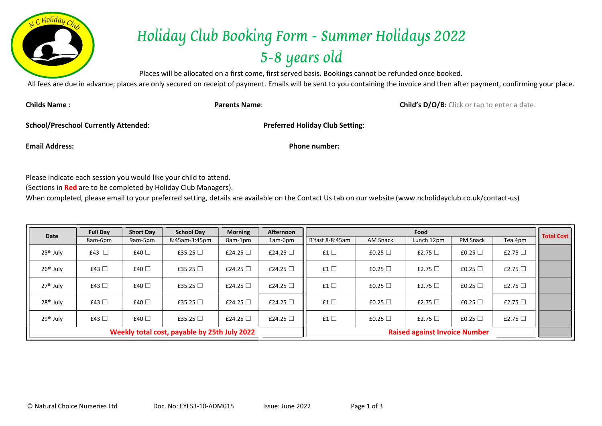

## Holiday Club Booking Form - Summer Holidays 2022 5-8 years old

Places will be allocated on a first come, first served basis. Bookings cannot be refunded once booked.

All fees are due in advance; places are only secured on receipt of payment. Emails will be sent to you containing the invoice and then after payment, confirming your place.

Childs Name : **Child's D/O/B:** Click or tap to enter a date.

School/Preschool Currently Attended: Preferred Holiday Club Setting:

Email Address: Phone number:

Please indicate each session you would like your child to attend.

(Sections in Red are to be completed by Holiday Club Managers).

When completed, please email to your preferred setting, details are available on the Contact Us tab on our website (www.ncholidayclub.co.uk/contact-us)

| Date                                         | <b>Full Day</b> | <b>Short Day</b> | <b>School Day</b> | <b>Morning</b> | Afternoon        |                 |                 | Food                                 |                 |              | <b>Total Cost</b> |
|----------------------------------------------|-----------------|------------------|-------------------|----------------|------------------|-----------------|-----------------|--------------------------------------|-----------------|--------------|-------------------|
|                                              | 8am-6pm         | 9am-5pm          | 8:45am-3:45pm     | 8am-1pm        | 1am-6pm          | B'fast 8-8:45am | <b>AM Snack</b> | Lunch 12pm                           | <b>PM Snack</b> | Tea 4pm      |                   |
| 25 <sup>th</sup> July                        | £43 $\Box$      | £40 $\Box$       | £35.25 $\Box$     | £24.25 $\Box$  | £24.25 $\square$ | £1 $\Box$       | £0.25 $\Box$    | £2.75 $\Box$                         | £0.25 $\Box$    | £2.75 $\Box$ |                   |
| 26 <sup>th</sup> July                        | £43 $\Box$      | £40 $\Box$       | £35.25 $\Box$     | £24.25 $\Box$  | £24.25 $\square$ | £1 $\Box$       | £0.25 $\Box$    | £2.75 $\Box$                         | £0.25 $\Box$    | £2.75 $\Box$ |                   |
| 27 <sup>th</sup> July                        | £43 $\Box$      | £40 $\Box$       | £35.25 $\Box$     | £24.25 $\Box$  | £24.25 $\square$ | £1 $\Box$       | £0.25 $\Box$    | £2.75 $\Box$                         | £0.25 $\Box$    | £2.75 $\Box$ |                   |
| 28 <sup>th</sup> July                        | £43 $\Box$      | £40 □            | £35.25 $\Box$     | £24.25 $\Box$  | £24.25 $\Box$    | £1 $\Box$       | £0.25 $\Box$    | £2.75 $\Box$                         | £0.25 $\Box$    | £2.75 $\Box$ |                   |
| 29 <sup>th</sup> July                        | £43 $\Box$      | £40 □            | £35.25 $\Box$     | £24.25 $\Box$  | £24.25 $\Box$    | £1 $\Box$       | £0.25 $\Box$    | £2.75 $\Box$                         | £0.25 $\Box$    | £2.75 $\Box$ |                   |
| Weekly total cost, payable by 25th July 2022 |                 |                  |                   |                |                  |                 |                 | <b>Raised against Invoice Number</b> |                 |              |                   |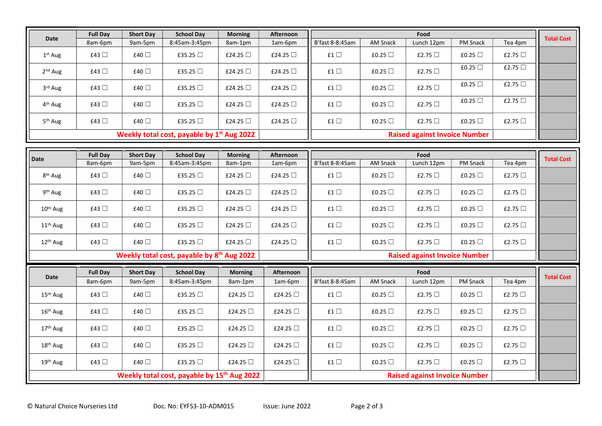|                                              | <b>Full Day</b> | <b>Short Day</b> | <b>School Day</b> | <b>Morning</b> | <b>Afternoon</b> |                 |                 | Food                                 |                 |              | <b>Total Cost</b> |
|----------------------------------------------|-----------------|------------------|-------------------|----------------|------------------|-----------------|-----------------|--------------------------------------|-----------------|--------------|-------------------|
| <b>Date</b>                                  | 8am-6pm         | 9am-5pm          | 8:45am-3:45pm     | 8am-1pm        | 1am-6pm          | B'fast 8-8:45am | <b>AM Snack</b> | Lunch 12pm                           | PM Snack        | Tea 4pm      |                   |
| $1st$ Aug                                    | £43 $\Box$      | £40 $\Box$       | £35.25 $\Box$     | £24.25 $\Box$  | £24.25 $\Box$    | £1 $\square$    | £0.25 $\Box$    | £2.75 $\Box$                         | £0.25 $\Box$    | £2.75 $\Box$ |                   |
| 2 <sup>nd</sup> Aug                          | £43 $\Box$      | £40 □            | £35.25 $\Box$     | £24.25 $\Box$  | £24.25 $\Box$    | £1 $\square$    | £0.25 $\Box$    | £2.75 $\Box$                         | £0.25 $\Box$    | £2.75 $\Box$ |                   |
| 3rd Aug                                      | £43 $\Box$      | £40 $\Box$       | £35.25 $\Box$     | £24.25 $\Box$  | £24.25 $\Box$    | £1 $\square$    | £0.25 $\Box$    | £2.75 $\Box$                         | £0.25 $\Box$    | £2.75 □      |                   |
| 4 <sup>th</sup> Aug                          | £43 $\Box$      | £40 □            | £35.25 □          | £24.25 $\Box$  | £24.25 □         | £1 $\square$    | £0.25 $\Box$    | £2.75 $\Box$                         | £0.25 $\Box$    | £2.75 □      |                   |
| 5 <sup>th</sup> Aug                          | £43 $\Box$      | £40 $\Box$       | £35.25 $\Box$     | £24.25 $\Box$  | £24.25 $\Box$    | £1 $\square$    | £0.25 $\Box$    | £2.75 $\Box$                         | £0.25 $\Box$    | £2.75 $\Box$ |                   |
| Weekly total cost, payable by $1st$ Aug 2022 |                 |                  |                   |                |                  |                 |                 | <b>Raised against Invoice Number</b> |                 |              |                   |
|                                              |                 |                  |                   |                |                  |                 |                 |                                      |                 |              |                   |
|                                              |                 |                  |                   |                |                  |                 |                 |                                      |                 |              |                   |
|                                              | <b>Full Day</b> | <b>Short Day</b> | <b>School Day</b> | <b>Morning</b> | <b>Afternoon</b> |                 |                 | Food                                 |                 |              |                   |
| Date                                         | 8am-6pm         | 9am-5pm          | 8:45am-3:45pm     | 8am-1pm        | 1am-6pm          | B'fast 8-8:45am | <b>AM Snack</b> | Lunch 12pm                           | <b>PM Snack</b> | Tea 4pm      | <b>Total Cost</b> |
| 8 <sup>th</sup> Aug                          | £43 $\Box$      | £40 □            | £35.25 $\Box$     | £24.25 $\Box$  | £24.25 $\Box$    | £1 $\square$    | £0.25 $\Box$    | £2.75 $\Box$                         | £0.25 $\Box$    | £2.75 $\Box$ |                   |
| 9 <sup>th</sup> Aug                          | £43 $\Box$      | £40 $\Box$       | £35.25 $\Box$     | £24.25 $\Box$  | £24.25 □         | £1 $\square$    | £0.25 $\Box$    | £2.75 $\Box$                         | £0.25 $\Box$    | £2.75 $\Box$ |                   |
| 10 <sup>th</sup> Aug                         | £43 $\Box$      | £40 □            | £35.25 □          | £24.25 $\Box$  | £24.25 $\Box$    | £1 $\square$    | £0.25 $\Box$    | £2.75 $\Box$                         | £0.25 $\Box$    | £2.75 $\Box$ |                   |
| 11 <sup>th</sup> Aug                         | £43 $\Box$      | £40 □            | £35.25 $\Box$     | £24.25 $\Box$  | £24.25 □         | £1 $\square$    | £0.25 $\Box$    | £2.75 $\Box$                         | £0.25 $\Box$    | £2.75 $\Box$ |                   |
| 12 <sup>th</sup> Aug                         | £43 $\Box$      | £40 $\Box$       | £35.25 $\Box$     | £24.25 $\Box$  | £24.25 □         | £1 $\square$    | £0.25 $\Box$    | £2.75 $\Box$                         | £0.25 $\Box$    | £2.75 □      |                   |

## Weekly total cost, payable by  $8<sup>th</sup>$  Aug 2022

|                                                         | <b>Full Day</b> | <b>Short Day</b> | <b>School Day</b> | <b>Morning</b> | Afternoon     |                                      |                 | Food         |                 |              | <b>Total Cost</b> |
|---------------------------------------------------------|-----------------|------------------|-------------------|----------------|---------------|--------------------------------------|-----------------|--------------|-----------------|--------------|-------------------|
| Date                                                    | 8am-6pm         | 9am-5pm          | 8:45am-3:45pm     | 8am-1pm        | 1am-6pm       | B'fast 8-8:45am                      | <b>AM Snack</b> | Lunch 12pm   | <b>PM Snack</b> | Tea 4pm      |                   |
| $15th$ Aug                                              | £43 $\Box$      | £40 $\Box$       | £35.25 $\Box$     | £24.25 $\Box$  | £24.25 □      | £1 $\Box$                            | £0.25 $\Box$    | £2.75 $\Box$ | £0.25 $\Box$    | £2.75 $\Box$ |                   |
| $16th$ Aug                                              | £43 $\Box$      | £40 $\Box$       | £35.25 $\Box$     | £24.25 $\Box$  | £24.25 □      | £1 $\Box$                            | £0.25 $\Box$    | £2.75 $\Box$ | £0.25 $\Box$    | £2.75 $\Box$ |                   |
| 17 <sup>th</sup> Aug                                    | £43 $\Box$      | £40 $\Box$       | £35.25 $\Box$     | £24.25 $\Box$  | £24.25 □      | £1 $\Box$                            | £0.25 $\Box$    | £2.75 $\Box$ | £0.25 $\Box$    | £2.75 $\Box$ |                   |
| 18 <sup>th</sup> Aug                                    | £43 $\Box$      | £40 $\Box$       | £35.25 $\Box$     | £24.25 $\Box$  | £24.25 $\Box$ | £1 $\Box$                            | £0.25 $\Box$    | £2.75 $\Box$ | £0.25 $\Box$    | £2.75 $\Box$ |                   |
| $19th$ Aug                                              | £43 $\Box$      | £40 $\Box$       | £35.25 $\Box$     | £24.25 $\Box$  | £24.25 $\Box$ | £1 $\Box$                            | £0.25 $\Box$    | £2.75 $\Box$ | £0.25 $\Box$    | £2.75 $\Box$ |                   |
| Weekly total cost, payable by 15 <sup>th</sup> Aug 2022 |                 |                  |                   |                |               | <b>Raised against Invoice Number</b> |                 |              |                 |              |                   |